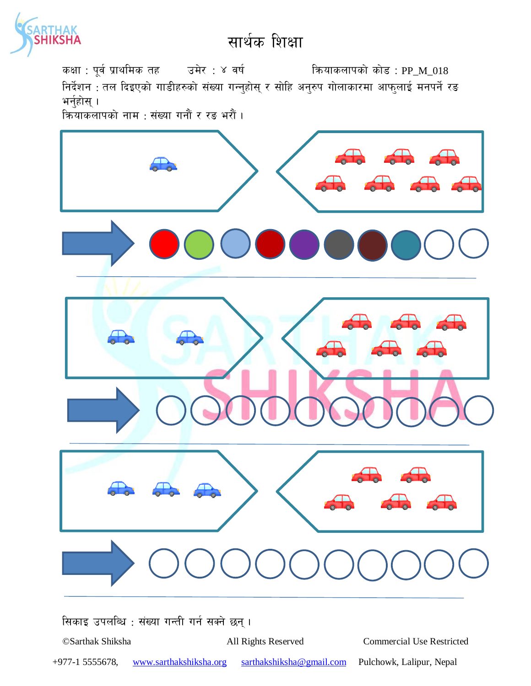

कक्षा : पूर्व प्राथमिक तह उमेर : ४ वर्ष कियाकलापको कोड : PP\_M\_018

निर्देशन : तल दिइएको गाडीहरुको संख्या गन्नुहोस् र सोहि अनुरुप गोलाकारमा आफुलाई मनपर्ने रङ भर्नुहोस् ।

कियाकलापको नाम : संख्या गनौं र रङ भरौं ।



सिकाइ उपलब्धि : संख्या गन्ती गर्न सक्ने छन्।

©Sarthak Shiksha

All Rights Reserved

**Commercial Use Restricted** 

 $+977-15555678,$ www.sarthakshiksha.org

sarthakshiksha@gmail.com Pulchowk, Lalipur, Nepal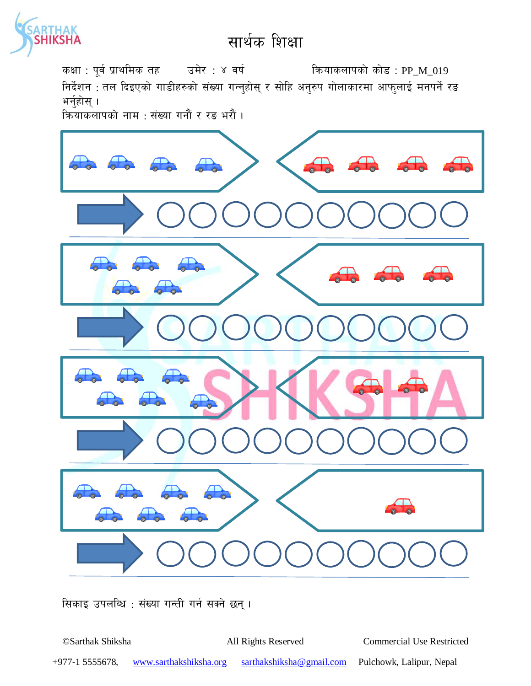

कक्षा : पूर्व प्राथमिक तह जिसे : ४ वर्ष स्वाद्या को को को उपस्था प्रथम को स्वाद्य प्राप्त 2019

निर्देशन : तल दिइएको गाडीहरुको संख्या गन्नुहोस् र सोहि अनुरुप गोलाकारमा आफुलाई मनपर्ने र<del>ड</del> भर्नुहोस् $\,$ ।

|<br>क्रियाकलापको नाम : संख्या गनौं र रङ भरौं ।



सिकाइ उपलब्धि : संख्या गन्ती गर्न सक्ने छन् ।

©Sarthak Shiksha All Rights Reserved Commercial Use Restricted +977-1 5555678, www.sarthakshiksha.org sarthakshiksha@gmail.com Pulchowk, Lalipur, Nepal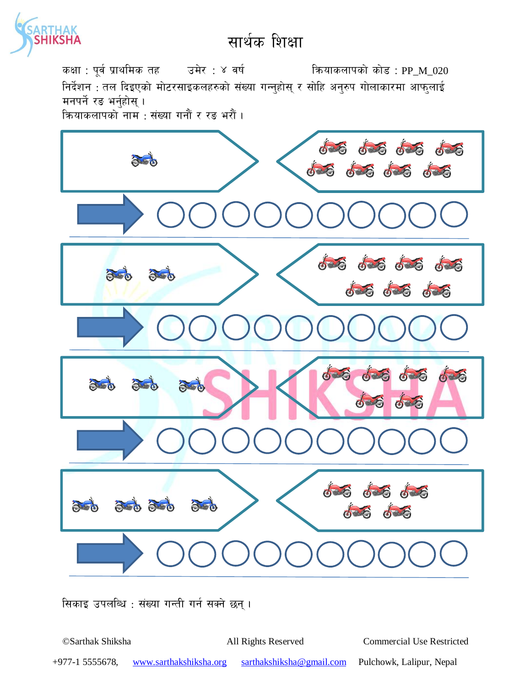

कियाकलापको कोड : PP\_M\_020 कक्षा : पूर्व प्राथमिक तह उमेर : ४ वर्ष निर्देशन : तल दिइएको मोटरसाइकलहरुको संख्या गन्नुहोस् र सोहि अनुरुप गोलाकारमा आफुलाई मनपर्ने रङ भर्नहोस् । कियाकलापको नाम : संख्या गनौं र रड भरौं ।



सिकाइ उपलब्धि : संख्या गन्ती गर्न सक्ने छन्।

©Sarthak Shiksha All Rights Reserved **Commercial Use Restricted**  $+977-15555678,$ sarthakshiksha@gmail.com Pulchowk, Lalipur, Nepal www.sarthakshiksha.org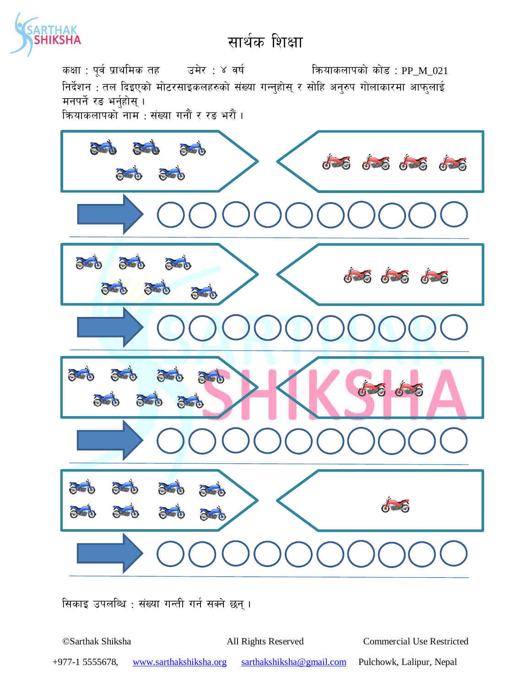

कक्षा : पूर्व प्राथमिक तह उमेर : ४ वर्ष क्रियाकलापको कोड : PP\_M\_021 निर्देशन : तल दिइएको मोटरसाइकलहरुको संख्या गन्नुहोस् र सोहि अनुरुप गोलाकारमा आफुलाई मनपर्ने रङ भर्नहोस् । कियाकलापको नाम : संख्या गनौं र रङ भरौं ।



सिकाइ उपलब्धि : संख्या गन्ती गर्न सक्ने छन्।

©Sarthak Shiksha **Commercial Use Restricted** All Rights Reserved  $+977-15555678,$ www.sarthakshiksha.org sarthakshiksha@gmail.com Pulchowk, Lalipur, Nepal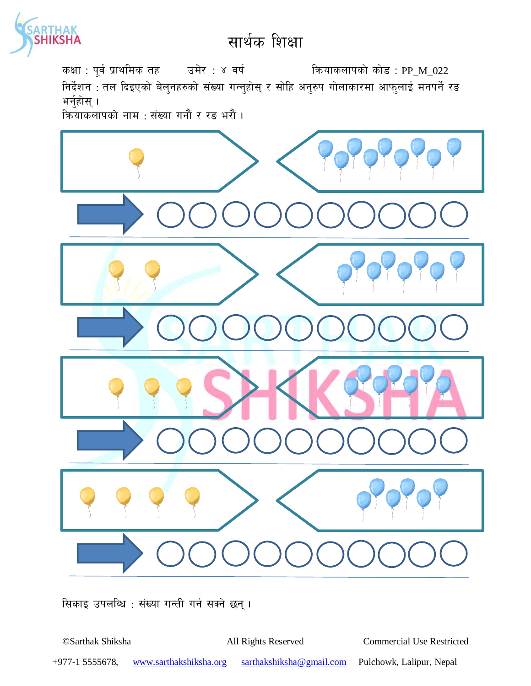कक्षा : पूर्व प्राथमिक तह उमेर : ४ वर्ष कियाकलापको कोड : PP\_M\_022 निर्देशन : तल दिइएको बेलुनहरुको संख्या गन्नुहोस् र सोहि अनुरुप गोलाकारमा आफुलाई मनपर्ने रङ भर्नुहोस् $\,$ ।

कियाकलापको नाम : संख्या गनौं र रङ भरौं ।



सिकाइ उपलब्धि : संख्या गन्ती गर्न सक्ने छन् ।

©Sarthak Shiksha All Rights Reserved Commercial Use Restricted

+977-1 5555678, www.sarthakshiksha.org sarthakshiksha@gmail.com Pulchowk, Lalipur, Nepal